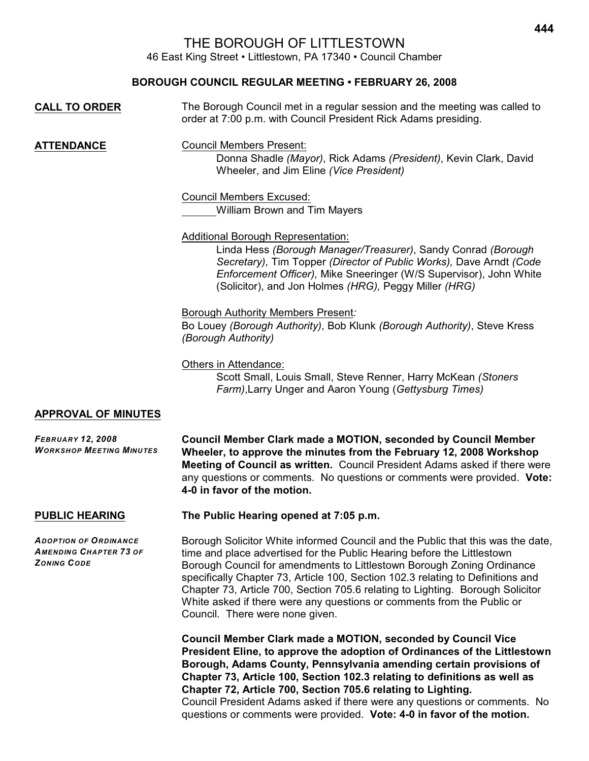# THE BOROUGH OF LITTLESTOWN

46 East King Street • Littlestown, PA 17340 • Council Chamber

#### **BOROUGH COUNCIL REGULAR MEETING • FEBRUARY 26, 2008**

| <b>CALL TO ORDER</b>                                                                | The Borough Council met in a regular session and the meeting was called to<br>order at 7:00 p.m. with Council President Rick Adams presiding.                                                                                                                                                                                                                                                                                                                                                                          |
|-------------------------------------------------------------------------------------|------------------------------------------------------------------------------------------------------------------------------------------------------------------------------------------------------------------------------------------------------------------------------------------------------------------------------------------------------------------------------------------------------------------------------------------------------------------------------------------------------------------------|
| <b>ATTENDANCE</b>                                                                   | <b>Council Members Present:</b><br>Donna Shadle (Mayor), Rick Adams (President), Kevin Clark, David<br>Wheeler, and Jim Eline (Vice President)                                                                                                                                                                                                                                                                                                                                                                         |
|                                                                                     | <b>Council Members Excused:</b><br>William Brown and Tim Mayers                                                                                                                                                                                                                                                                                                                                                                                                                                                        |
|                                                                                     | <b>Additional Borough Representation:</b><br>Linda Hess (Borough Manager/Treasurer), Sandy Conrad (Borough<br>Secretary), Tim Topper (Director of Public Works), Dave Arndt (Code<br>Enforcement Officer), Mike Sneeringer (W/S Supervisor), John White<br>(Solicitor), and Jon Holmes (HRG), Peggy Miller (HRG)                                                                                                                                                                                                       |
|                                                                                     | <b>Borough Authority Members Present:</b><br>Bo Louey (Borough Authority), Bob Klunk (Borough Authority), Steve Kress<br>(Borough Authority)                                                                                                                                                                                                                                                                                                                                                                           |
|                                                                                     | Others in Attendance:<br>Scott Small, Louis Small, Steve Renner, Harry McKean (Stoners<br>Farm), Larry Unger and Aaron Young (Gettysburg Times)                                                                                                                                                                                                                                                                                                                                                                        |
| <b>APPROVAL OF MINUTES</b>                                                          |                                                                                                                                                                                                                                                                                                                                                                                                                                                                                                                        |
| <b>FEBRUARY 12, 2008</b><br><b>WORKSHOP MEETING MINUTES</b>                         | Council Member Clark made a MOTION, seconded by Council Member<br>Wheeler, to approve the minutes from the February 12, 2008 Workshop<br>Meeting of Council as written. Council President Adams asked if there were<br>any questions or comments. No questions or comments were provided. Vote:<br>4-0 in favor of the motion.                                                                                                                                                                                         |
| <b>PUBLIC HEARING</b>                                                               | The Public Hearing opened at 7:05 p.m.                                                                                                                                                                                                                                                                                                                                                                                                                                                                                 |
| <b>ADOPTION OF ORDINANCE</b><br><b>AMENDING CHAPTER 73 OF</b><br><b>ZONING CODE</b> | Borough Solicitor White informed Council and the Public that this was the date,<br>time and place advertised for the Public Hearing before the Littlestown<br>Borough Council for amendments to Littlestown Borough Zoning Ordinance<br>specifically Chapter 73, Article 100, Section 102.3 relating to Definitions and<br>Chapter 73, Article 700, Section 705.6 relating to Lighting. Borough Solicitor<br>White asked if there were any questions or comments from the Public or<br>Council. There were none given. |

**Council Member Clark made a MOTION, seconded by Council Vice President Eline, to approve the adoption of Ordinances of the Littlestown Borough, Adams County, Pennsylvania amending certain provisions of Chapter 73, Article 100, Section 102.3 relating to definitions as well as Chapter 72, Article 700, Section 705.6 relating to Lighting.**  Council President Adams asked if there were any questions or comments. No questions or comments were provided. **Vote: 4-0 in favor of the motion.**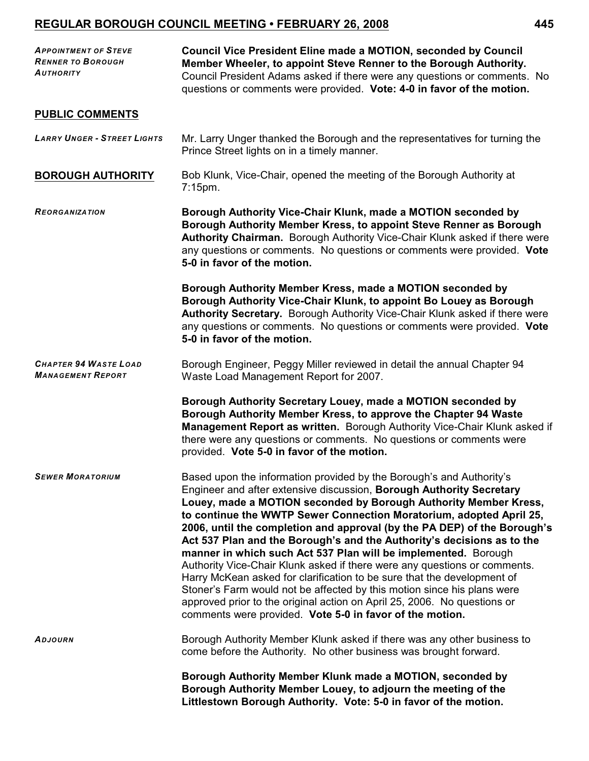| <b>APPOINTMENT OF STEVE</b><br><b>RENNER TO BOROUGH</b><br><b>AUTHORITY</b> | <b>Council Vice President Eline made a MOTION, seconded by Council</b><br>Member Wheeler, to appoint Steve Renner to the Borough Authority.<br>Council President Adams asked if there were any questions or comments. No<br>questions or comments were provided. Vote: 4-0 in favor of the motion.                                                                                                                                                                                                                                                                                                                                                                                                                                                                                                                                                                                         |
|-----------------------------------------------------------------------------|--------------------------------------------------------------------------------------------------------------------------------------------------------------------------------------------------------------------------------------------------------------------------------------------------------------------------------------------------------------------------------------------------------------------------------------------------------------------------------------------------------------------------------------------------------------------------------------------------------------------------------------------------------------------------------------------------------------------------------------------------------------------------------------------------------------------------------------------------------------------------------------------|
| <b>PUBLIC COMMENTS</b>                                                      |                                                                                                                                                                                                                                                                                                                                                                                                                                                                                                                                                                                                                                                                                                                                                                                                                                                                                            |
| <b>LARRY UNGER - STREET LIGHTS</b>                                          | Mr. Larry Unger thanked the Borough and the representatives for turning the<br>Prince Street lights on in a timely manner.                                                                                                                                                                                                                                                                                                                                                                                                                                                                                                                                                                                                                                                                                                                                                                 |
| <b>BOROUGH AUTHORITY</b>                                                    | Bob Klunk, Vice-Chair, opened the meeting of the Borough Authority at<br>$7:15$ pm.                                                                                                                                                                                                                                                                                                                                                                                                                                                                                                                                                                                                                                                                                                                                                                                                        |
| <b>REORGANIZATION</b>                                                       | Borough Authority Vice-Chair Klunk, made a MOTION seconded by<br>Borough Authority Member Kress, to appoint Steve Renner as Borough<br>Authority Chairman. Borough Authority Vice-Chair Klunk asked if there were<br>any questions or comments. No questions or comments were provided. Vote<br>5-0 in favor of the motion.                                                                                                                                                                                                                                                                                                                                                                                                                                                                                                                                                                |
|                                                                             | Borough Authority Member Kress, made a MOTION seconded by<br>Borough Authority Vice-Chair Klunk, to appoint Bo Louey as Borough<br>Authority Secretary. Borough Authority Vice-Chair Klunk asked if there were<br>any questions or comments. No questions or comments were provided. Vote<br>5-0 in favor of the motion.                                                                                                                                                                                                                                                                                                                                                                                                                                                                                                                                                                   |
| <b>CHAPTER 94 WASTE LOAD</b><br><b>MANAGEMENT REPORT</b>                    | Borough Engineer, Peggy Miller reviewed in detail the annual Chapter 94<br>Waste Load Management Report for 2007.                                                                                                                                                                                                                                                                                                                                                                                                                                                                                                                                                                                                                                                                                                                                                                          |
|                                                                             | Borough Authority Secretary Louey, made a MOTION seconded by<br>Borough Authority Member Kress, to approve the Chapter 94 Waste<br>Management Report as written. Borough Authority Vice-Chair Klunk asked if<br>there were any questions or comments. No questions or comments were<br>provided. Vote 5-0 in favor of the motion.                                                                                                                                                                                                                                                                                                                                                                                                                                                                                                                                                          |
| <b>SEWER MORATORIUM</b>                                                     | Based upon the information provided by the Borough's and Authority's<br>Engineer and after extensive discussion, Borough Authority Secretary<br>Louey, made a MOTION seconded by Borough Authority Member Kress,<br>to continue the WWTP Sewer Connection Moratorium, adopted April 25,<br>2006, until the completion and approval (by the PA DEP) of the Borough's<br>Act 537 Plan and the Borough's and the Authority's decisions as to the<br>manner in which such Act 537 Plan will be implemented. Borough<br>Authority Vice-Chair Klunk asked if there were any questions or comments.<br>Harry McKean asked for clarification to be sure that the development of<br>Stoner's Farm would not be affected by this motion since his plans were<br>approved prior to the original action on April 25, 2006. No questions or<br>comments were provided. Vote 5-0 in favor of the motion. |
| <b>ADJOURN</b>                                                              | Borough Authority Member Klunk asked if there was any other business to<br>come before the Authority. No other business was brought forward.                                                                                                                                                                                                                                                                                                                                                                                                                                                                                                                                                                                                                                                                                                                                               |
|                                                                             | Borough Authority Member Klunk made a MOTION, seconded by<br>Borough Authority Member Louey, to adjourn the meeting of the<br>Littlestown Borough Authority. Vote: 5-0 in favor of the motion.                                                                                                                                                                                                                                                                                                                                                                                                                                                                                                                                                                                                                                                                                             |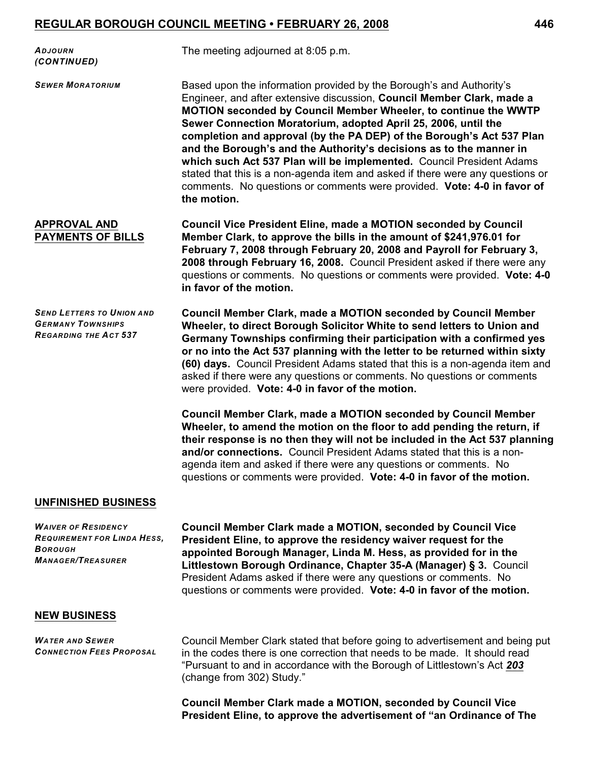| <b>ADJOURN</b><br>(CONTINUED)                                                                                  | The meeting adjourned at 8:05 p.m.                                                                                                                                                                                                                                                                                                                                                                                                                                                                                                                                                                                                                                                             |
|----------------------------------------------------------------------------------------------------------------|------------------------------------------------------------------------------------------------------------------------------------------------------------------------------------------------------------------------------------------------------------------------------------------------------------------------------------------------------------------------------------------------------------------------------------------------------------------------------------------------------------------------------------------------------------------------------------------------------------------------------------------------------------------------------------------------|
| <b>SEWER MORATORIUM</b>                                                                                        | Based upon the information provided by the Borough's and Authority's<br>Engineer, and after extensive discussion, Council Member Clark, made a<br><b>MOTION seconded by Council Member Wheeler, to continue the WWTP</b><br>Sewer Connection Moratorium, adopted April 25, 2006, until the<br>completion and approval (by the PA DEP) of the Borough's Act 537 Plan<br>and the Borough's and the Authority's decisions as to the manner in<br>which such Act 537 Plan will be implemented. Council President Adams<br>stated that this is a non-agenda item and asked if there were any questions or<br>comments. No questions or comments were provided. Vote: 4-0 in favor of<br>the motion. |
| <b>APPROVAL AND</b><br>PAYMENTS OF BILLS                                                                       | <b>Council Vice President Eline, made a MOTION seconded by Council</b><br>Member Clark, to approve the bills in the amount of \$241,976.01 for<br>February 7, 2008 through February 20, 2008 and Payroll for February 3,<br>2008 through February 16, 2008. Council President asked if there were any<br>questions or comments. No questions or comments were provided. Vote: 4-0<br>in favor of the motion.                                                                                                                                                                                                                                                                                   |
| <b>SEND LETTERS TO UNION AND</b><br><b>GERMANY TOWNSHIPS</b><br><b>REGARDING THE ACT 537</b>                   | <b>Council Member Clark, made a MOTION seconded by Council Member</b><br>Wheeler, to direct Borough Solicitor White to send letters to Union and<br>Germany Townships confirming their participation with a confirmed yes<br>or no into the Act 537 planning with the letter to be returned within sixty<br>(60) days. Council President Adams stated that this is a non-agenda item and<br>asked if there were any questions or comments. No questions or comments<br>were provided. Vote: 4-0 in favor of the motion.                                                                                                                                                                        |
|                                                                                                                | <b>Council Member Clark, made a MOTION seconded by Council Member</b><br>Wheeler, to amend the motion on the floor to add pending the return, if<br>their response is no then they will not be included in the Act 537 planning<br>and/or connections. Council President Adams stated that this is a non-<br>agenda item and asked if there were any questions or comments. No<br>questions or comments were provided. Vote: 4-0 in favor of the motion.                                                                                                                                                                                                                                       |
| <b>UNFINISHED BUSINESS</b>                                                                                     |                                                                                                                                                                                                                                                                                                                                                                                                                                                                                                                                                                                                                                                                                                |
| <b>WAIVER OF RESIDENCY</b><br><b>REQUIREMENT FOR LINDA HESS,</b><br><b>BOROUGH</b><br><b>MANAGER/TREASURER</b> | <b>Council Member Clark made a MOTION, seconded by Council Vice</b><br>President Eline, to approve the residency waiver request for the<br>appointed Borough Manager, Linda M. Hess, as provided for in the<br>Littlestown Borough Ordinance, Chapter 35-A (Manager) § 3. Council<br>President Adams asked if there were any questions or comments. No<br>questions or comments were provided. Vote: 4-0 in favor of the motion.                                                                                                                                                                                                                                                               |
| <b>NEW BUSINESS</b>                                                                                            |                                                                                                                                                                                                                                                                                                                                                                                                                                                                                                                                                                                                                                                                                                |

*WATER AND SEWER CONNECTION FEES PROPOSAL*

Council Member Clark stated that before going to advertisement and being put in the codes there is one correction that needs to be made. It should read "Pursuant to and in accordance with the Borough of Littlestown's Act *203* (change from 302) Study."

**Council Member Clark made a MOTION, seconded by Council Vice President Eline, to approve the advertisement of "an Ordinance of The**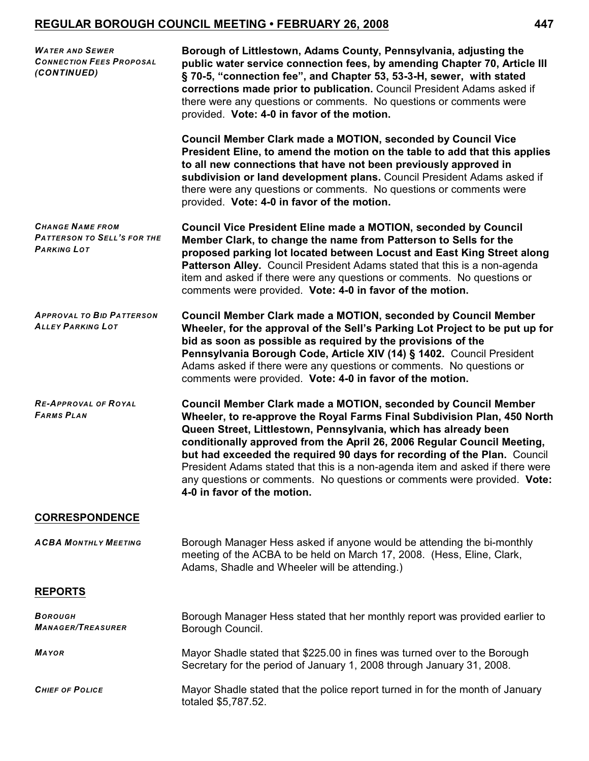| <b>WATER AND SEWER</b><br><b>CONNECTION FEES PROPOSAL</b><br>(CONTINUED)            | Borough of Littlestown, Adams County, Pennsylvania, adjusting the<br>public water service connection fees, by amending Chapter 70, Article III<br>§ 70-5, "connection fee", and Chapter 53, 53-3-H, sewer, with stated<br>corrections made prior to publication. Council President Adams asked if<br>there were any questions or comments. No questions or comments were<br>provided. Vote: 4-0 in favor of the motion.                                                                                                                                                 |
|-------------------------------------------------------------------------------------|-------------------------------------------------------------------------------------------------------------------------------------------------------------------------------------------------------------------------------------------------------------------------------------------------------------------------------------------------------------------------------------------------------------------------------------------------------------------------------------------------------------------------------------------------------------------------|
|                                                                                     | <b>Council Member Clark made a MOTION, seconded by Council Vice</b><br>President Eline, to amend the motion on the table to add that this applies<br>to all new connections that have not been previously approved in<br>subdivision or land development plans. Council President Adams asked if<br>there were any questions or comments. No questions or comments were<br>provided. Vote: 4-0 in favor of the motion.                                                                                                                                                  |
| <b>CHANGE NAME FROM</b><br><b>PATTERSON TO SELL'S FOR THE</b><br><b>PARKING LOT</b> | <b>Council Vice President Eline made a MOTION, seconded by Council</b><br>Member Clark, to change the name from Patterson to Sells for the<br>proposed parking lot located between Locust and East King Street along<br><b>Patterson Alley.</b> Council President Adams stated that this is a non-agenda<br>item and asked if there were any questions or comments. No questions or<br>comments were provided. Vote: 4-0 in favor of the motion.                                                                                                                        |
| <b>APPROVAL TO BID PATTERSON</b><br><b>ALLEY PARKING LOT</b>                        | <b>Council Member Clark made a MOTION, seconded by Council Member</b><br>Wheeler, for the approval of the Sell's Parking Lot Project to be put up for<br>bid as soon as possible as required by the provisions of the<br>Pennsylvania Borough Code, Article XIV (14) § 1402. Council President<br>Adams asked if there were any questions or comments. No questions or<br>comments were provided. Vote: 4-0 in favor of the motion.                                                                                                                                     |
| <b>RE-APPROVAL OF ROYAL</b><br><b>FARMS PLAN</b>                                    | <b>Council Member Clark made a MOTION, seconded by Council Member</b><br>Wheeler, to re-approve the Royal Farms Final Subdivision Plan, 450 North<br>Queen Street, Littlestown, Pennsylvania, which has already been<br>conditionally approved from the April 26, 2006 Regular Council Meeting,<br>but had exceeded the required 90 days for recording of the Plan. Council<br>President Adams stated that this is a non-agenda item and asked if there were<br>any questions or comments. No questions or comments were provided. Vote:<br>4-0 in favor of the motion. |
| <b>CORRESPONDENCE</b>                                                               |                                                                                                                                                                                                                                                                                                                                                                                                                                                                                                                                                                         |
| <b>ACBA MONTHLY MEETING</b>                                                         | Borough Manager Hess asked if anyone would be attending the bi-monthly<br>meeting of the ACBA to be held on March 17, 2008. (Hess, Eline, Clark,<br>Adams, Shadle and Wheeler will be attending.)                                                                                                                                                                                                                                                                                                                                                                       |
| <b>REPORTS</b>                                                                      |                                                                                                                                                                                                                                                                                                                                                                                                                                                                                                                                                                         |
| <b>BOROUGH</b><br><b>MANAGER/TREASURER</b>                                          | Borough Manager Hess stated that her monthly report was provided earlier to<br>Borough Council.                                                                                                                                                                                                                                                                                                                                                                                                                                                                         |
| <b>MAYOR</b>                                                                        | Mayor Shadle stated that \$225.00 in fines was turned over to the Borough<br>Secretary for the period of January 1, 2008 through January 31, 2008.                                                                                                                                                                                                                                                                                                                                                                                                                      |
| <b>CHIEF OF POLICE</b>                                                              | Mayor Shadle stated that the police report turned in for the month of January<br>totaled \$5,787.52.                                                                                                                                                                                                                                                                                                                                                                                                                                                                    |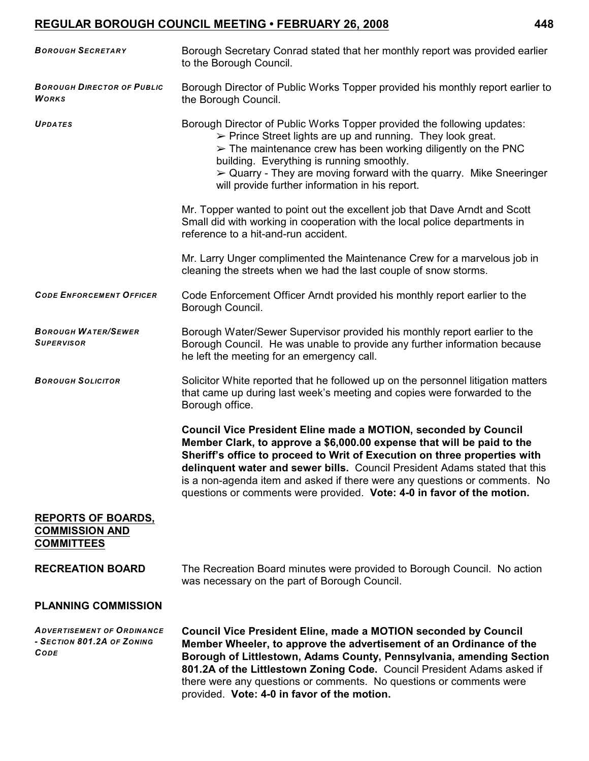| <b>BOROUGH SECRETARY</b>                                                | Borough Secretary Conrad stated that her monthly report was provided earlier<br>to the Borough Council.                                                                                                                                                                                                                                                                                                                                                             |
|-------------------------------------------------------------------------|---------------------------------------------------------------------------------------------------------------------------------------------------------------------------------------------------------------------------------------------------------------------------------------------------------------------------------------------------------------------------------------------------------------------------------------------------------------------|
| <b>BOROUGH DIRECTOR OF PUBLIC</b><br><b>WORKS</b>                       | Borough Director of Public Works Topper provided his monthly report earlier to<br>the Borough Council.                                                                                                                                                                                                                                                                                                                                                              |
| <b>UPDATES</b>                                                          | Borough Director of Public Works Topper provided the following updates:<br>$\triangleright$ Prince Street lights are up and running. They look great.<br>$\triangleright$ The maintenance crew has been working diligently on the PNC<br>building. Everything is running smoothly.<br>$\triangleright$ Quarry - They are moving forward with the quarry. Mike Sneeringer<br>will provide further information in his report.                                         |
|                                                                         | Mr. Topper wanted to point out the excellent job that Dave Arndt and Scott<br>Small did with working in cooperation with the local police departments in<br>reference to a hit-and-run accident.                                                                                                                                                                                                                                                                    |
|                                                                         | Mr. Larry Unger complimented the Maintenance Crew for a marvelous job in<br>cleaning the streets when we had the last couple of snow storms.                                                                                                                                                                                                                                                                                                                        |
| <b>CODE ENFORCEMENT OFFICER</b>                                         | Code Enforcement Officer Arndt provided his monthly report earlier to the<br>Borough Council.                                                                                                                                                                                                                                                                                                                                                                       |
| <b>BOROUGH WATER/SEWER</b><br><b>SUPERVISOR</b>                         | Borough Water/Sewer Supervisor provided his monthly report earlier to the<br>Borough Council. He was unable to provide any further information because<br>he left the meeting for an emergency call.                                                                                                                                                                                                                                                                |
| <b>BOROUGH SOLICITOR</b>                                                | Solicitor White reported that he followed up on the personnel litigation matters<br>that came up during last week's meeting and copies were forwarded to the<br>Borough office.                                                                                                                                                                                                                                                                                     |
|                                                                         | <b>Council Vice President Eline made a MOTION, seconded by Council</b><br>Member Clark, to approve a \$6,000.00 expense that will be paid to the<br>Sheriff's office to proceed to Writ of Execution on three properties with<br>delinquent water and sewer bills. Council President Adams stated that this<br>is a non-agenda item and asked if there were any questions or comments. No<br>questions or comments were provided. Vote: 4-0 in favor of the motion. |
| <b>REPORTS OF BOARDS,</b><br><b>COMMISSION AND</b><br><b>COMMITTEES</b> |                                                                                                                                                                                                                                                                                                                                                                                                                                                                     |
| <b>RECREATION BOARD</b>                                                 | The Recreation Board minutes were provided to Borough Council. No action<br>was necessary on the part of Borough Council.                                                                                                                                                                                                                                                                                                                                           |
| <b>PLANNING COMMISSION</b>                                              |                                                                                                                                                                                                                                                                                                                                                                                                                                                                     |
| <b>ADVERTISEMENT OF ORDINANCE</b><br>- SECTION 801.2A OF ZONING<br>CODE | <b>Council Vice President Eline, made a MOTION seconded by Council</b><br>Member Wheeler, to approve the advertisement of an Ordinance of the<br>Borough of Littlestown, Adams County, Pennsylvania, amending Section<br>801.2A of the Littlestown Zoning Code. Council President Adams asked if<br>there were any questions or comments. No questions or comments were<br>provided. Vote: 4-0 in favor of the motion.                                              |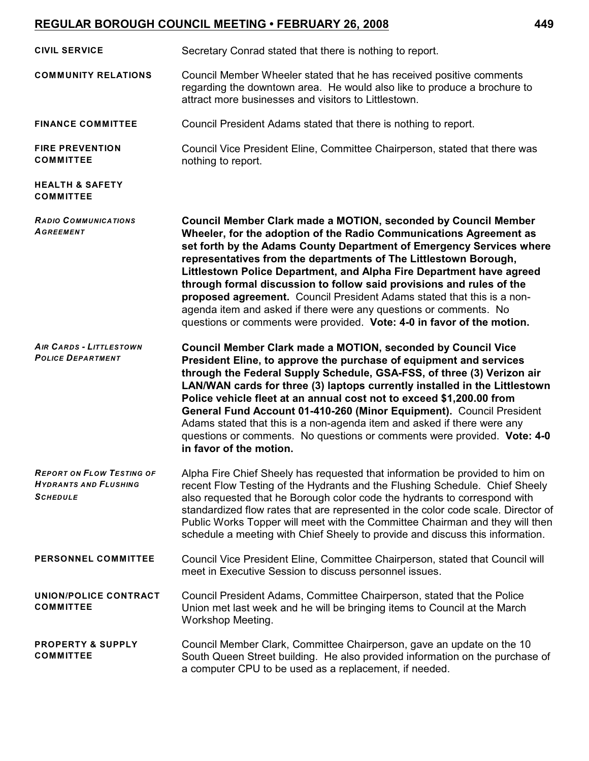| <b>CIVIL SERVICE</b>                                                                | Secretary Conrad stated that there is nothing to report.                                                                                                                                                                                                                                                                                                                                                                                                                                                                                                                                                                                                         |
|-------------------------------------------------------------------------------------|------------------------------------------------------------------------------------------------------------------------------------------------------------------------------------------------------------------------------------------------------------------------------------------------------------------------------------------------------------------------------------------------------------------------------------------------------------------------------------------------------------------------------------------------------------------------------------------------------------------------------------------------------------------|
| <b>COMMUNITY RELATIONS</b>                                                          | Council Member Wheeler stated that he has received positive comments<br>regarding the downtown area. He would also like to produce a brochure to<br>attract more businesses and visitors to Littlestown.                                                                                                                                                                                                                                                                                                                                                                                                                                                         |
| <b>FINANCE COMMITTEE</b>                                                            | Council President Adams stated that there is nothing to report.                                                                                                                                                                                                                                                                                                                                                                                                                                                                                                                                                                                                  |
| <b>FIRE PREVENTION</b><br><b>COMMITTEE</b>                                          | Council Vice President Eline, Committee Chairperson, stated that there was<br>nothing to report.                                                                                                                                                                                                                                                                                                                                                                                                                                                                                                                                                                 |
| <b>HEALTH &amp; SAFETY</b><br><b>COMMITTEE</b>                                      |                                                                                                                                                                                                                                                                                                                                                                                                                                                                                                                                                                                                                                                                  |
| <b>RADIO COMMUNICATIONS</b><br><b>AGREEMENT</b>                                     | <b>Council Member Clark made a MOTION, seconded by Council Member</b><br>Wheeler, for the adoption of the Radio Communications Agreement as<br>set forth by the Adams County Department of Emergency Services where<br>representatives from the departments of The Littlestown Borough,<br>Littlestown Police Department, and Alpha Fire Department have agreed<br>through formal discussion to follow said provisions and rules of the<br>proposed agreement. Council President Adams stated that this is a non-<br>agenda item and asked if there were any questions or comments. No<br>questions or comments were provided. Vote: 4-0 in favor of the motion. |
| <b>AIR CARDS - LITTLESTOWN</b><br><b>POLICE DEPARTMENT</b>                          | <b>Council Member Clark made a MOTION, seconded by Council Vice</b><br>President Eline, to approve the purchase of equipment and services<br>through the Federal Supply Schedule, GSA-FSS, of three (3) Verizon air<br>LAN/WAN cards for three (3) laptops currently installed in the Littlestown<br>Police vehicle fleet at an annual cost not to exceed \$1,200.00 from<br>General Fund Account 01-410-260 (Minor Equipment). Council President<br>Adams stated that this is a non-agenda item and asked if there were any<br>questions or comments. No questions or comments were provided. Vote: 4-0<br>in favor of the motion.                              |
| <b>REPORT ON FLOW TESTING OF</b><br><b>HYDRANTS AND FLUSHING</b><br><b>SCHEDULE</b> | Alpha Fire Chief Sheely has requested that information be provided to him on<br>recent Flow Testing of the Hydrants and the Flushing Schedule. Chief Sheely<br>also requested that he Borough color code the hydrants to correspond with<br>standardized flow rates that are represented in the color code scale. Director of<br>Public Works Topper will meet with the Committee Chairman and they will then<br>schedule a meeting with Chief Sheely to provide and discuss this information.                                                                                                                                                                   |
| <b>PERSONNEL COMMITTEE</b>                                                          | Council Vice President Eline, Committee Chairperson, stated that Council will<br>meet in Executive Session to discuss personnel issues.                                                                                                                                                                                                                                                                                                                                                                                                                                                                                                                          |
| UNION/POLICE CONTRACT<br><b>COMMITTEE</b>                                           | Council President Adams, Committee Chairperson, stated that the Police<br>Union met last week and he will be bringing items to Council at the March<br>Workshop Meeting.                                                                                                                                                                                                                                                                                                                                                                                                                                                                                         |
| <b>PROPERTY &amp; SUPPLY</b><br><b>COMMITTEE</b>                                    | Council Member Clark, Committee Chairperson, gave an update on the 10<br>South Queen Street building. He also provided information on the purchase of<br>a computer CPU to be used as a replacement, if needed.                                                                                                                                                                                                                                                                                                                                                                                                                                                  |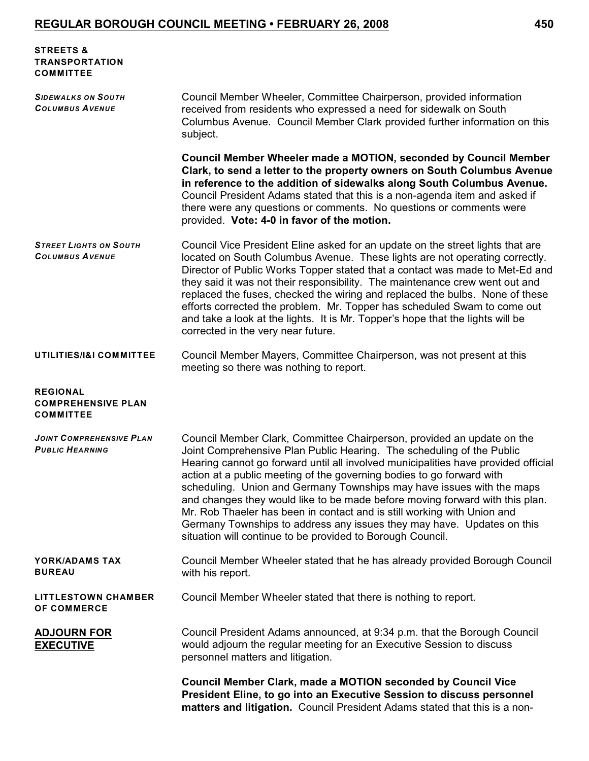| STREETS &        |
|------------------|
| TRANSPORTATION   |
| <b>COMMITTEE</b> |

| <b>SIDEWALKS ON SOUTH</b><br><b>COLUMBUS AVENUE</b>              | Council Member Wheeler, Committee Chairperson, provided information<br>received from residents who expressed a need for sidewalk on South<br>Columbus Avenue. Council Member Clark provided further information on this<br>subject.                                                                                                                                                                                                                                                                                                                                                                                                                                                        |
|------------------------------------------------------------------|--------------------------------------------------------------------------------------------------------------------------------------------------------------------------------------------------------------------------------------------------------------------------------------------------------------------------------------------------------------------------------------------------------------------------------------------------------------------------------------------------------------------------------------------------------------------------------------------------------------------------------------------------------------------------------------------|
|                                                                  | <b>Council Member Wheeler made a MOTION, seconded by Council Member</b><br>Clark, to send a letter to the property owners on South Columbus Avenue<br>in reference to the addition of sidewalks along South Columbus Avenue.<br>Council President Adams stated that this is a non-agenda item and asked if<br>there were any questions or comments. No questions or comments were<br>provided. Vote: 4-0 in favor of the motion.                                                                                                                                                                                                                                                           |
| <b>STREET LIGHTS ON SOUTH</b><br><b>COLUMBUS AVENUE</b>          | Council Vice President Eline asked for an update on the street lights that are<br>located on South Columbus Avenue. These lights are not operating correctly.<br>Director of Public Works Topper stated that a contact was made to Met-Ed and<br>they said it was not their responsibility. The maintenance crew went out and<br>replaced the fuses, checked the wiring and replaced the bulbs. None of these<br>efforts corrected the problem. Mr. Topper has scheduled Swam to come out<br>and take a look at the lights. It is Mr. Topper's hope that the lights will be<br>corrected in the very near future.                                                                          |
| UTILITIES/I&I COMMITTEE                                          | Council Member Mayers, Committee Chairperson, was not present at this<br>meeting so there was nothing to report.                                                                                                                                                                                                                                                                                                                                                                                                                                                                                                                                                                           |
| <b>REGIONAL</b><br><b>COMPREHENSIVE PLAN</b><br><b>COMMITTEE</b> |                                                                                                                                                                                                                                                                                                                                                                                                                                                                                                                                                                                                                                                                                            |
| <b>JOINT COMPREHENSIVE PLAN</b><br><b>PUBLIC HEARNING</b>        | Council Member Clark, Committee Chairperson, provided an update on the<br>Joint Comprehensive Plan Public Hearing. The scheduling of the Public<br>Hearing cannot go forward until all involved municipalities have provided official<br>action at a public meeting of the governing bodies to go forward with<br>scheduling. Union and Germany Townships may have issues with the maps<br>and changes they would like to be made before moving forward with this plan.<br>Mr. Rob Thaeler has been in contact and is still working with Union and<br>Germany Townships to address any issues they may have. Updates on this<br>situation will continue to be provided to Borough Council. |
| YORK/ADAMS TAX<br><b>BUREAU</b>                                  | Council Member Wheeler stated that he has already provided Borough Council<br>with his report.                                                                                                                                                                                                                                                                                                                                                                                                                                                                                                                                                                                             |
| <b>LITTLESTOWN CHAMBER</b><br>OF COMMERCE                        | Council Member Wheeler stated that there is nothing to report.                                                                                                                                                                                                                                                                                                                                                                                                                                                                                                                                                                                                                             |
| <b>ADJOURN FOR</b><br><b>EXECUTIVE</b>                           | Council President Adams announced, at 9:34 p.m. that the Borough Council<br>would adjourn the regular meeting for an Executive Session to discuss<br>personnel matters and litigation.                                                                                                                                                                                                                                                                                                                                                                                                                                                                                                     |
|                                                                  | <b>Council Member Clark, made a MOTION seconded by Council Vice</b><br>President Eline, to go into an Executive Session to discuss personnel<br>matters and litigation. Council President Adams stated that this is a non-                                                                                                                                                                                                                                                                                                                                                                                                                                                                 |